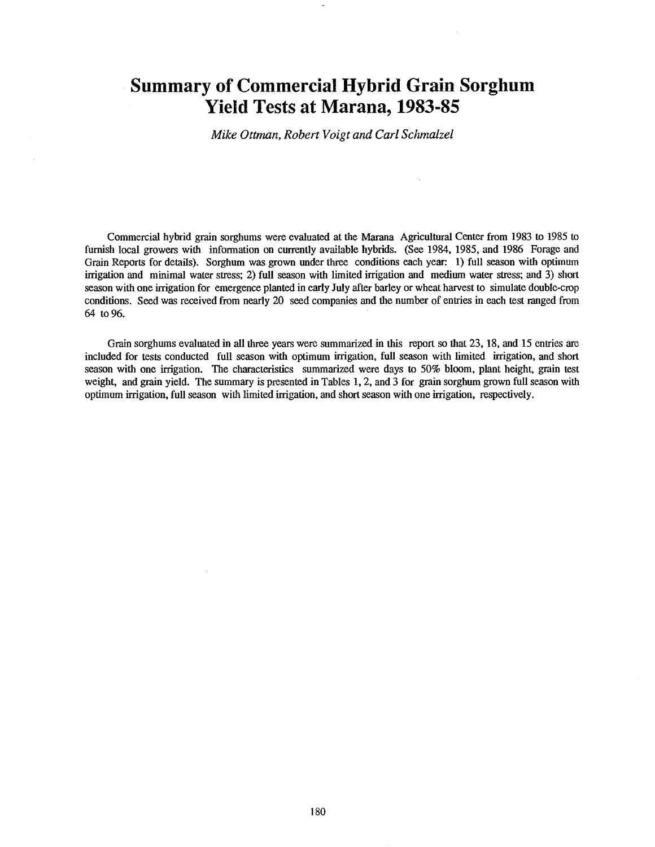## Summary of Commercial Hybrid Grain Sorghum Yield Tests at Marana, 1983-85

Mike Ottman, Robert Voigt and Carl Schmalzel

Commercial hybrid grain sorghums were evaluated at the Marana Agricultural Center from 1983 to 1985 to furnish local growers with information on currently available hybrids. (See 1984, 1985, and 1986 Forage and Grain Reports for details). Sorghum was grown under three conditions each year: 1) full season with optimum irrigation and minimal water stress; 2) full season with limited irrigation and medium water stress; and 3) short season with one irrigation for emergence planted in early July after barley or wheat harvest to simulate double -crop conditions. Seed was received from nearly 20 seed companies and the number of entries in each test ranged from 64 to 96.

Grain sorghums evaluated in all three years were summarized in this report so that 23, 18, and 15 entries are included for tests conducted full season with optimum irrigation, full season with limited irrigation, and short season with one irrigation. The characteristics summarized were days to 50% bloom, plant height, grain test weight, and grain yield. The summary is presented in Tables 1, 2, and 3 for grain sorghum grown full season with optimum irrigation, full season with limited irrigation, and short season with one irrigation, respectively.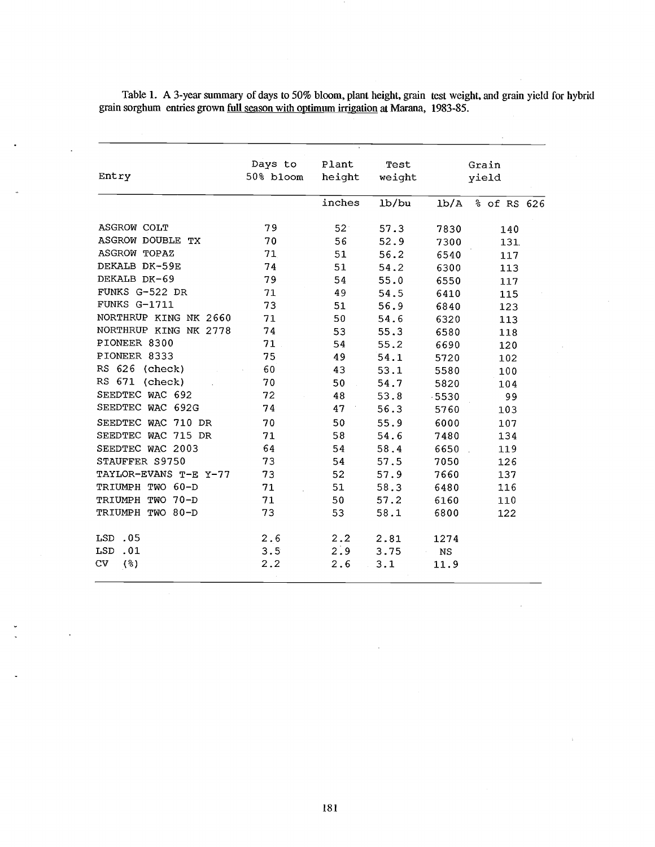| Entry                 | Days to<br>50% bloom | Plant<br>height | Test<br>weight | Grain<br>yield |                       |  |
|-----------------------|----------------------|-----------------|----------------|----------------|-----------------------|--|
|                       |                      | inches          | 1b/bu          | 1b/A           | 8 of RS 626           |  |
| ASGROW COLT           | 79                   | 52 <sup>°</sup> | 57.3           | 7830           | 140                   |  |
| ASGROW DOUBLE TX      | 70                   | 56              | 52.9           | 7300           | 131                   |  |
| ASGROW TOPAZ          | 71                   | 51              | 56.2           | 6540           | 117                   |  |
| DEKALB DK-59E         | 74                   | 51              | 54.2           | 6300           | 113                   |  |
| DEKALB DK-69          | 79                   | 54              | 55.0           | 6550           | 117                   |  |
| FUNKS G-522 DR        | 71                   | 49              | 54.5           | 6410           | 115                   |  |
| FUNKS G-1711          | 73                   | 51              | 56.9           | 6840           | 123                   |  |
| NORTHRUP KING NK 2660 | 71                   | 50              | 54.6           | 6320           | 113                   |  |
| NORTHRUP KING NK 2778 | 74                   | 53              | 55.3           | 6580           | 118                   |  |
| PIONEER 8300          | 71                   | 54              | 55.2           | 6690           | 120                   |  |
| PIONEER 8333          | 75                   | 49              | 54.1           | 5720           | 102                   |  |
| RS 626 (check)        | 60                   | 43              | 53.1           | 5580           | 100                   |  |
| RS 671 (check)        | 70                   | 50              | 54.7           | 5820           | 104                   |  |
| SEEDTEC WAC 692       | 72                   | 48              | 53.8           | $-5530$        | 99                    |  |
| SEEDTEC WAC 692G      | 74                   | 47              | 56.3           | 5760           | 103                   |  |
| SEEDTEC WAC 710 DR    | 70                   | 50              | 55.9           | 6000           | 107                   |  |
| SEEDTEC WAC 715 DR    | 71                   | 58              | 54.6           | 7480           | 134                   |  |
| SEEDTEC WAC 2003      | 64                   | 54              | 58.4           | 6650           | 119<br>$\mathbb{R}^2$ |  |
| STAUFFER S9750        | 73                   | 54              | 57.5           | 7050           | 126                   |  |
| TAYLOR-EVANS T-E Y-77 | 73                   | 52              | 57.9           | 7660           | 137                   |  |
| TRIUMPH TWO 60-D      | 71                   | 51              | 58.3           | 6480           | 116                   |  |
| TRIUMPH TWO 70-D      | 71                   | 50              | 57.2           | 6160           | 110                   |  |
| TRIUMPH TWO 80-D      | 73                   | 53              | 58.1           | 6800           | 122                   |  |
| LSD .05               | 2.6                  | 2.2             | 2.81           | 1274           |                       |  |
| .01<br>LSD            | 3.5                  | 2.9             | 3.75           | NS             |                       |  |
| CV<br>(3)             | 2.2                  | 2.6             | 3.1            | 11.9           |                       |  |

Table 1. A 3 -year summary of days to 50% bloom, plant height, grain test weight, and grain yield for hybrid grain sorghum entries grown <u>full season with optimum irrigation</u> at Marana, 1983-85.

l,

 $\ddot{\phantom{a}}$ 

 $\hat{\boldsymbol{\beta}}$ 

 $\bar{\bar{\nu}}$ 

 $\pm$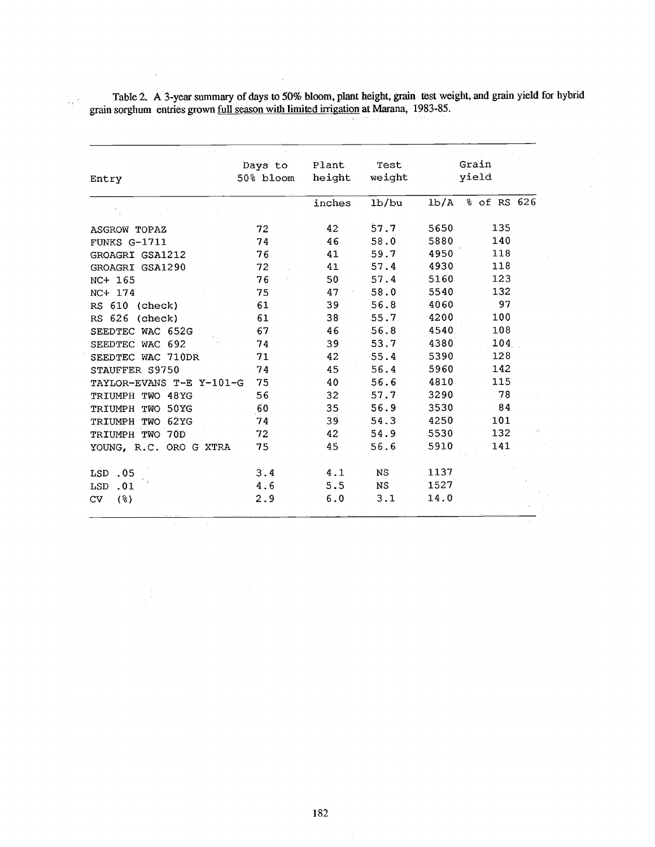Table 2. A 3 -year summary of days to 50% bloom, plant height, grain test weight, and grain yield for hybrid grain sorghum entries grown <u>full season with limited irrigation</u> at Marana, 1983-85.

l,

 $\bar{z}$ 

 $\alpha$  ,  $\beta$ 

| Entry                    | Days to<br>50% bloom | Plant<br>height | Test<br>weight |      | Grain<br>yield |
|--------------------------|----------------------|-----------------|----------------|------|----------------|
|                          |                      | inches          | 1b/bu          | 1b/A | % of RS 626    |
| <b>ASGROW TOPAZ</b>      | 72                   | 42              | 57.7           | 5650 | 135            |
| FUNKS G-1711             | 74                   | 46              | 58.0           | 5880 | 140            |
| GROAGRI GSA1212          | 76                   | 41              | 59.7           | 4950 | 118            |
| GROAGRI GSA1290          | 72 <sub>1</sub>      | 41              | 57.4           | 4930 | 118            |
| NC+ 165                  | 76                   | 50              | 57.4           | 5160 | 123            |
| NC+ 174                  | 75                   | 47              | 58.0           | 5540 | 132            |
| RS 610 (check)           | 61                   | 39              | 56.8           | 4060 | 97             |
| RS 626 (check)           | 61                   | 38              | 55.7           | 4200 | 100            |
| SEEDTEC WAC 652G         | 67                   | 46              | 56.8           | 4540 | 108            |
| SEEDTEC WAC 692          | 74                   | 39              | 53.7           | 4380 | 104            |
| SEEDTEC WAC 710DR        | 71                   | 42              | 55.4           | 5390 | 128            |
| STAUFFER S9750           | 74                   | 45              | 56.4           | 5960 | 142            |
| TAYLOR-EVANS T-E Y-101-G | 75                   | 40              | 56.6           | 4810 | 115            |
| TRIUMPH TWO 48YG         | 56                   | 32              | 57.7           | 3290 | 78             |
| TRIUMPH TWO 50YG         | 60                   | 35              | 56.9           | 3530 | 84             |
| TRIUMPH TWO 62YG         | 74                   | 39              | 54.3           | 4250 | 101            |
| TRIUMPH TWO 70D          | 72                   | 42              | 54.9           | 5530 | 132            |
| YOUNG, R.C. ORO G XTRA   | 75                   | 45              | 56.6           | 5910 | 141            |
| $LSD$ .05                | 3.4                  | 4.1             | <b>NS</b>      | 1137 |                |
| LSD<br>.01               | 4.6                  | 5.5             | <b>NS</b>      | 1527 |                |
| (8)<br>CV                | 2.9                  | 6.0             | 3.1            | 14.0 |                |